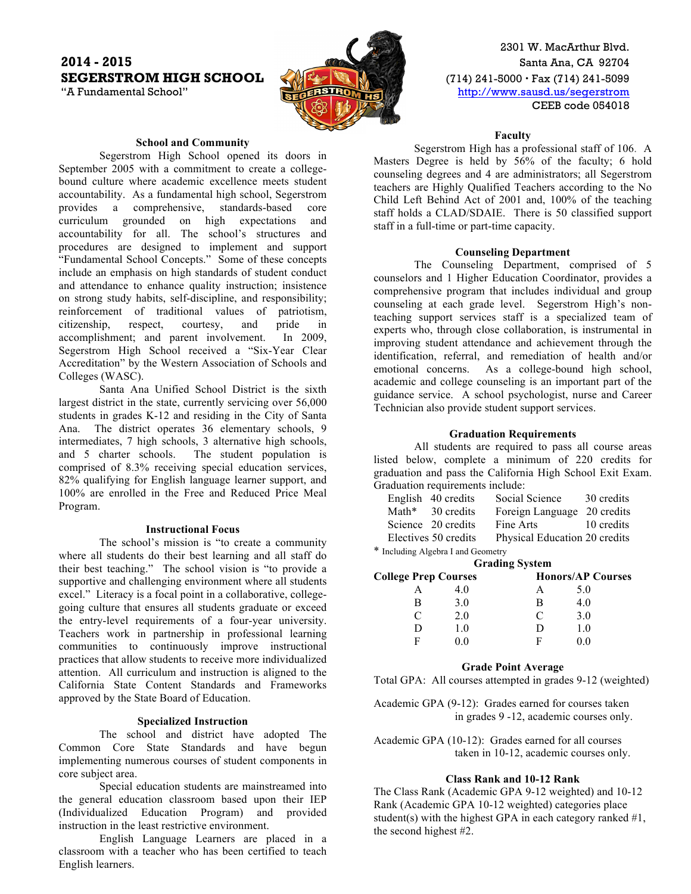# **2014 - 2015** Santa Ana, CA 92704 **SEGERSTROM HIGH SCHOOL** (10) 241-5000 · Fax (714) 241-5099



2301 W. MacArthur Blvd. "A Fundamental School" **http://www.sausd.us/segerstrom** CEEB code 054018

## **School and Community**

Segerstrom High School opened its doors in September 2005 with a commitment to create a collegebound culture where academic excellence meets student accountability. As a fundamental high school, Segerstrom provides a comprehensive, standards-based core curriculum grounded on high expectations and accountability for all. The school's structures and procedures are designed to implement and support "Fundamental School Concepts." Some of these concepts include an emphasis on high standards of student conduct and attendance to enhance quality instruction; insistence on strong study habits, self-discipline, and responsibility; reinforcement of traditional values of patriotism, citizenship, respect, courtesy, and pride in accomplishment; and parent involvement. In 2009, Segerstrom High School received a "Six-Year Clear Accreditation" by the Western Association of Schools and Colleges (WASC).

Santa Ana Unified School District is the sixth largest district in the state, currently servicing over 56,000 students in grades K-12 and residing in the City of Santa Ana. The district operates 36 elementary schools, 9 intermediates, 7 high schools, 3 alternative high schools, and 5 charter schools. The student population is comprised of 8.3% receiving special education services, 82% qualifying for English language learner support, and 100% are enrolled in the Free and Reduced Price Meal Program.

#### **Instructional Focus**

The school's mission is "to create a community where all students do their best learning and all staff do their best teaching." The school vision is "to provide a supportive and challenging environment where all students excel." Literacy is a focal point in a collaborative, collegegoing culture that ensures all students graduate or exceed the entry-level requirements of a four-year university. Teachers work in partnership in professional learning communities to continuously improve instructional practices that allow students to receive more individualized attention. All curriculum and instruction is aligned to the California State Content Standards and Frameworks approved by the State Board of Education.

### **Specialized Instruction**

The school and district have adopted The Common Core State Standards and have begun implementing numerous courses of student components in core subject area.

Special education students are mainstreamed into the general education classroom based upon their IEP (Individualized Education Program) and provided instruction in the least restrictive environment.

English Language Learners are placed in a classroom with a teacher who has been certified to teach English learners.

#### **Faculty**

Segerstrom High has a professional staff of 106. A Masters Degree is held by 56% of the faculty; 6 hold counseling degrees and 4 are administrators; all Segerstrom teachers are Highly Qualified Teachers according to the No Child Left Behind Act of 2001 and, 100% of the teaching staff holds a CLAD/SDAIE. There is 50 classified support staff in a full-time or part-time capacity.

## **Counseling Department**

The Counseling Department, comprised of 5 counselors and 1 Higher Education Coordinator, provides a comprehensive program that includes individual and group counseling at each grade level. Segerstrom High's nonteaching support services staff is a specialized team of experts who, through close collaboration, is instrumental in improving student attendance and achievement through the identification, referral, and remediation of health and/or emotional concerns. As a college-bound high school, academic and college counseling is an important part of the guidance service. A school psychologist, nurse and Career Technician also provide student support services.

### **Graduation Requirements**

All students are required to pass all course areas listed below, complete a minimum of 220 credits for graduation and pass the California High School Exit Exam. Graduation requirements include:

|  | English 40 credits   | Social Science                | 30 credits |
|--|----------------------|-------------------------------|------------|
|  | Math* 30 credits     | Foreign Language              | 20 credits |
|  | Science 20 credits   | Fine Arts                     | 10 credits |
|  | Electives 50 credits | Physical Education 20 credits |            |
|  |                      |                               |            |

\* Including Algebra I and Geometry

| <b>Grading System</b>       |     |   |                          |
|-----------------------------|-----|---|--------------------------|
| <b>College Prep Courses</b> |     |   | <b>Honors/AP Courses</b> |
|                             | 40  |   | 5.0                      |
| в                           | 3.0 | В | 4.0                      |
| C                           | 20  | C | 3.0                      |
| D                           | 1.0 |   | 10                       |
| F                           |     | ы | 0 O                      |

#### **Grade Point Average**

Total GPA: All courses attempted in grades 9-12 (weighted)

Academic GPA (9-12): Grades earned for courses taken in grades 9 -12, academic courses only.

Academic GPA (10-12): Grades earned for all courses taken in 10-12, academic courses only.

## **Class Rank and 10-12 Rank**

The Class Rank (Academic GPA 9-12 weighted) and 10-12 Rank (Academic GPA 10-12 weighted) categories place student(s) with the highest GPA in each category ranked  $#1$ , the second highest #2.